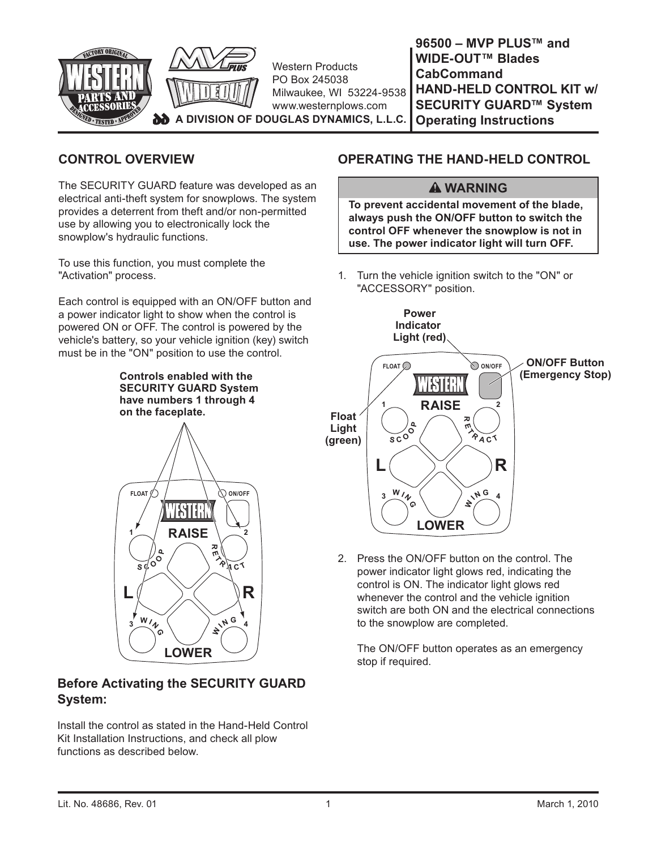

# **CONTROL OVERVIEW**

The SECURITY GUARD feature was developed as an electrical anti-theft system for snowplows. The system provides a deterrent from theft and/or non-permitted use by allowing you to electronically lock the snowplow's hydraulic functions.

To use this function, you must complete the "Activation" process.

Each control is equipped with an ON/OFF button and a power indicator light to show when the control is powered ON or OFF. The control is powered by the vehicle's battery, so your vehicle ignition (key) switch must be in the "ON" position to use the control.

> **Controls enabled with the SECURITY GUARD System have numbers 1 through 4 on the faceplate.**



# **Before Activating the SECURITY GUARD System:**

Install the control as stated in the Hand-Held Control Kit Installation Instructions, and check all plow functions as described below.

# **OPERATING THE HAND-HELD CONTROL**

### **WARNING**

**To prevent accidental movement of the blade, always push the ON/OFF button to switch the control OFF whenever the snowplow is not in use. The power indicator light will turn OFF.**

1. Turn the vehicle ignition switch to the "ON" or "ACCESSORY" position.



2. Press the ON/OFF button on the control. The power indicator light glows red, indicating the control is ON. The indicator light glows red whenever the control and the vehicle ignition switch are both ON and the electrical connections to the snowplow are completed.

 The ON/OFF button operates as an emergency stop if required.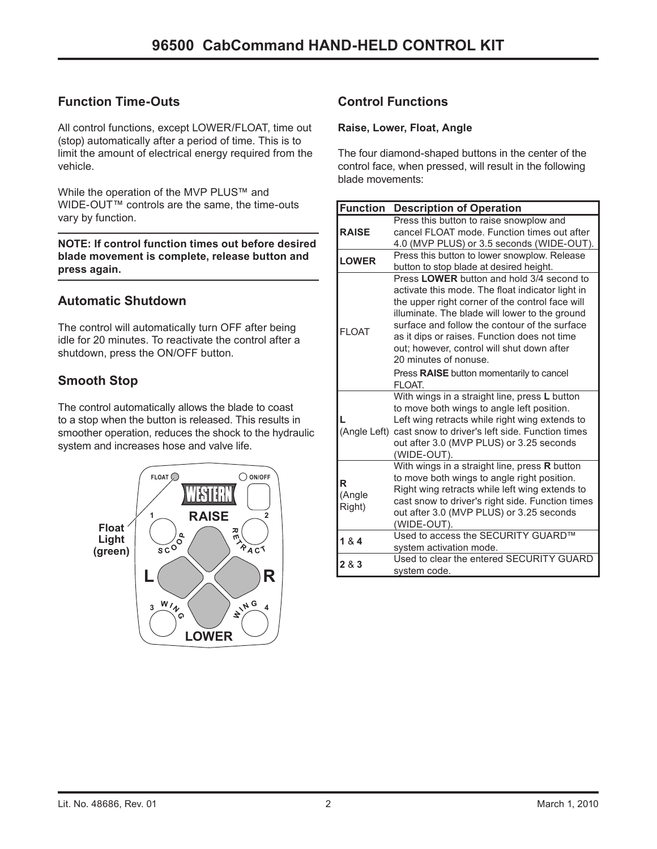# **Function Time-Outs**

All control functions, except LOWER/FLOAT, time out (stop) automatically after a period of time. This is to limit the amount of electrical energy required from the vehicle.

While the operation of the MVP PLUS™ and WIDE-OUT™ controls are the same, the time-outs vary by function.

**NOTE: If control function times out before desired blade movement is complete, release button and press again.**

### **Automatic Shutdown**

The control will automatically turn OFF after being idle for 20 minutes. To reactivate the control after a shutdown, press the ON/OFF button.

### **Smooth Stop**

The control automatically allows the blade to coast to a stop when the button is released. This results in smoother operation, reduces the shock to the hydraulic system and increases hose and valve life.



# **Control Functions**

#### **Raise, Lower, Float, Angle**

The four diamond-shaped buttons in the center of the control face, when pressed, will result in the following blade movements:

| <b>Function</b>       | <b>Description of Operation</b>                                                                                                                                                                                                                                                                                                                                            |
|-----------------------|----------------------------------------------------------------------------------------------------------------------------------------------------------------------------------------------------------------------------------------------------------------------------------------------------------------------------------------------------------------------------|
| <b>RAISE</b>          | Press this button to raise snowplow and<br>cancel FLOAT mode. Function times out after<br>4.0 (MVP PLUS) or 3.5 seconds (WIDE-OUT).                                                                                                                                                                                                                                        |
| <b>LOWER</b>          | Press this button to lower snowplow. Release<br>button to stop blade at desired height.                                                                                                                                                                                                                                                                                    |
| <b>FI OAT</b>         | Press LOWER button and hold 3/4 second to<br>activate this mode. The float indicator light in<br>the upper right corner of the control face will<br>illuminate. The blade will lower to the ground<br>surface and follow the contour of the surface<br>as it dips or raises. Function does not time<br>out; however, control will shut down after<br>20 minutes of nonuse. |
|                       | Press RAISE button momentarily to cancel<br>FI OAT.                                                                                                                                                                                                                                                                                                                        |
|                       | With wings in a straight line, press L button<br>to move both wings to angle left position.<br>Left wing retracts while right wing extends to<br>(Angle Left) cast snow to driver's left side. Function times<br>out after 3.0 (MVP PLUS) or 3.25 seconds<br>(WIDE-OUT).                                                                                                   |
| R<br>(Angle<br>Right) | With wings in a straight line, press R button<br>to move both wings to angle right position.<br>Right wing retracts while left wing extends to<br>cast snow to driver's right side. Function times<br>out after 3.0 (MVP PLUS) or 3.25 seconds<br>(WIDE-OUT).                                                                                                              |
| 184                   | Used to access the SECURITY GUARD™<br>system activation mode.                                                                                                                                                                                                                                                                                                              |
| 283                   | Used to clear the entered SECURITY GUARD<br>system code.                                                                                                                                                                                                                                                                                                                   |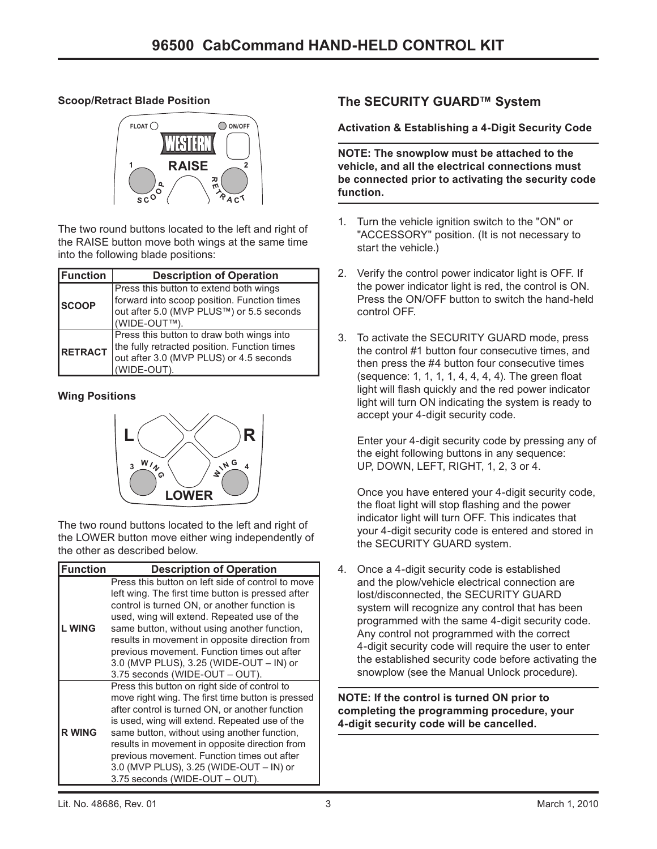### **Scoop/Retract Blade Position**



The two round buttons located to the left and right of the RAISE button move both wings at the same time into the following blade positions:

| Function       | <b>Description of Operation</b>              |
|----------------|----------------------------------------------|
| <b>SCOOP</b>   | Press this button to extend both wings       |
|                | forward into scoop position. Function times  |
|                | out after 5.0 (MVP PLUS™) or 5.5 seconds     |
|                | (WIDE-OUT™)                                  |
| <b>RETRACT</b> | Press this button to draw both wings into    |
|                | the fully retracted position. Function times |
|                | out after 3.0 (MVP PLUS) or 4.5 seconds      |
|                | (WIDE-OUT).                                  |

### **Wing Positions**



The two round buttons located to the left and right of the LOWER button move either wing independently of the other as described below.

| Function      | <b>Description of Operation</b>                                                                                                                                                                                                                                                                                                                                                                                                                                         |
|---------------|-------------------------------------------------------------------------------------------------------------------------------------------------------------------------------------------------------------------------------------------------------------------------------------------------------------------------------------------------------------------------------------------------------------------------------------------------------------------------|
|               | Press this button on left side of control to move<br>left wing. The first time button is pressed after<br>control is turned ON, or another function is                                                                                                                                                                                                                                                                                                                  |
| <b>LWING</b>  | used, wing will extend. Repeated use of the<br>same button, without using another function,<br>results in movement in opposite direction from<br>previous movement. Function times out after<br>3.0 (MVP PLUS), 3.25 (WIDE-OUT - IN) or                                                                                                                                                                                                                                 |
| <b>R WING</b> | 3.75 seconds (WIDE-OUT - OUT).<br>Press this button on right side of control to<br>move right wing. The first time button is pressed<br>after control is turned ON, or another function<br>is used, wing will extend. Repeated use of the<br>same button, without using another function,<br>results in movement in opposite direction from<br>previous movement. Function times out after<br>3.0 (MVP PLUS), 3.25 (WIDE-OUT - IN) or<br>3.75 seconds (WIDE-OUT - OUT). |

# **The SECURITY GUARD™ System**

**Activation & Establishing a 4-Digit Security Code**

**NOTE: The snowplow must be attached to the vehicle, and all the electrical connections must be connected prior to activating the security code function.**

- 1. Turn the vehicle ignition switch to the "ON" or "ACCESSORY" position. (It is not necessary to start the vehicle.)
- 2. Verify the control power indicator light is OFF. If the power indicator light is red, the control is ON. Press the ON/OFF button to switch the hand-held control OFF.
- 3. To activate the SECURITY GUARD mode, press the control #1 button four consecutive times, and then press the #4 button four consecutive times (sequence: 1, 1, 1, 1, 4, 4, 4, 4). The green float light will flash quickly and the red power indicator light will turn ON indicating the system is ready to accept your 4-digit security code.

 Enter your 4-digit security code by pressing any of the eight following buttons in any sequence: UP, DOWN, LEFT, RIGHT, 1, 2, 3 or 4.

 Once you have entered your 4-digit security code, the float light will stop flashing and the power indicator light will turn OFF. This indicates that your 4-digit security code is entered and stored in the SECURITY GUARD system.

4. Once a 4-digit security code is established and the plow/vehicle electrical connection are lost/disconnected, the SECURITY GUARD system will recognize any control that has been programmed with the same 4-digit security code. Any control not programmed with the correct 4-digit security code will require the user to enter the established security code before activating the snowplow (see the Manual Unlock procedure).

**NOTE: If the control is turned ON prior to completing the programming procedure, your 4-digit security code will be cancelled.**